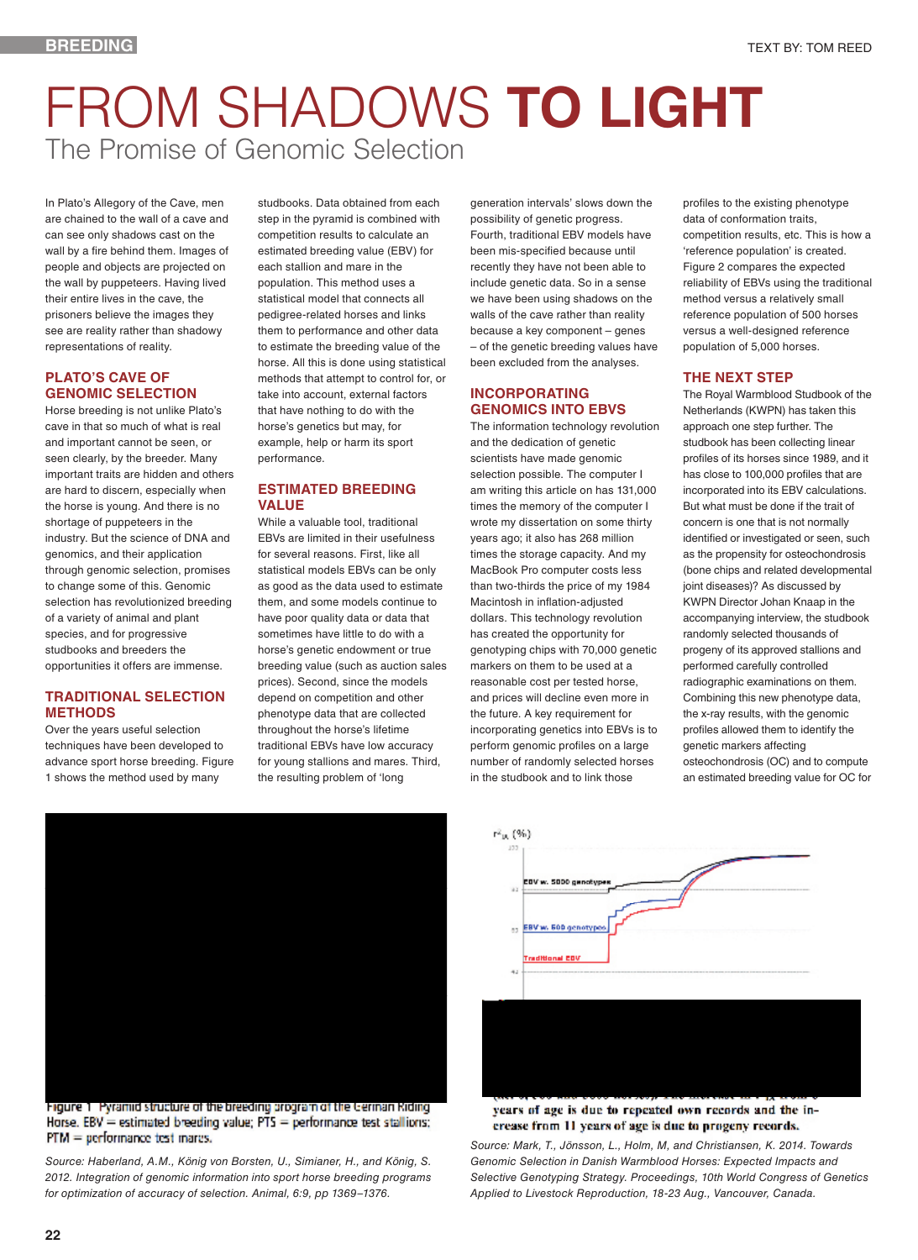# FROM SHADOWS **TO LIGHT** The Promise of Genomic Selection

In Plato's Allegory of the Cave, men are chained to the wall of a cave and can see only shadows cast on the wall by a fire behind them. Images of people and objects are projected on the wall by puppeteers. Having lived their entire lives in the cave, the prisoners believe the images they see are reality rather than shadowy representations of reality.

## **PLATO'S CAVE OF GENOMIC SELECTION**

Horse breeding is not unlike Plato's cave in that so much of what is real and important cannot be seen, or seen clearly, by the breeder. Many important traits are hidden and others are hard to discern, especially when the horse is young. And there is no shortage of puppeteers in the industry. But the science of DNA and genomics, and their application through genomic selection, promises to change some of this. Genomic selection has revolutionized breeding of a variety of animal and plant species, and for progressive studbooks and breeders the opportunities it offers are immense.

### **TRADITIONAL SELECTION METHODS**

Over the years useful selection techniques have been developed to advance sport horse breeding. Figure 1 shows the method used by many

studbooks. Data obtained from each step in the pyramid is combined with competition results to calculate an estimated breeding value (EBV) for each stallion and mare in the population. This method uses a statistical model that connects all pedigree-related horses and links them to performance and other data to estimate the breeding value of the horse. All this is done using statistical methods that attempt to control for, or take into account, external factors that have nothing to do with the horse's genetics but may, for example, help or harm its sport performance.

# **ESTIMATED BREEDING VALUE**

While a valuable tool, traditional EBVs are limited in their usefulness for several reasons. First, like all statistical models EBVs can be only as good as the data used to estimate them, and some models continue to have poor quality data or data that sometimes have little to do with a horse's genetic endowment or true breeding value (such as auction sales prices). Second, since the models depend on competition and other phenotype data that are collected throughout the horse's lifetime traditional EBVs have low accuracy for young stallions and mares. Third, the resulting problem of 'long

generation intervals' slows down the possibility of genetic progress. Fourth, traditional EBV models have been mis-specified because until recently they have not been able to include genetic data. So in a sense we have been using shadows on the walls of the cave rather than reality because a key component – genes – of the genetic breeding values have been excluded from the analyses.

## **INCORPORATING GENOMICS INTO EBVS**

The information technology revolution and the dedication of genetic scientists have made genomic selection possible. The computer I am writing this article on has 131,000 times the memory of the computer I wrote my dissertation on some thirty years ago; it also has 268 million times the storage capacity. And my MacBook Pro computer costs less than two-thirds the price of my 1984 Macintosh in inflation-adjusted dollars. This technology revolution has created the opportunity for genotyping chips with 70,000 genetic markers on them to be used at a reasonable cost per tested horse, and prices will decline even more in the future. A key requirement for incorporating genetics into EBVs is to perform genomic profiles on a large number of randomly selected horses in the studbook and to link those

profiles to the existing phenotype data of conformation traits, competition results, etc. This is how a 'reference population' is created. Figure 2 compares the expected reliability of EBVs using the traditional method versus a relatively small reference population of 500 horses versus a well-designed reference population of 5,000 horses.

# **THE NEXT STEP**

The Royal Warmblood Studbook of the Netherlands (KWPN) has taken this approach one step further. The studbook has been collecting linear profiles of its horses since 1989, and it has close to 100,000 profiles that are incorporated into its EBV calculations. But what must be done if the trait of concern is one that is not normally identified or investigated or seen, such as the propensity for osteochondrosis (bone chips and related developmental joint diseases)? As discussed by KWPN Director Johan Knaap in the accompanying interview, the studbook randomly selected thousands of progeny of its approved stallions and performed carefully controlled radiographic examinations on them. Combining this new phenotype data, the x-ray results, with the genomic profiles allowed them to identify the genetic markers affecting osteochondrosis (OC) and to compute an estimated breeding value for OC for



## Higure 1 Pyramid structure of the breeding program of the German Kiding Horse, EBV = estimated breeding value;  $PTS = performance$  test stallions; PTM = performance bast mares.

*Source: Haberland, A.M., König von Borsten, U., Simianer, H., and König, S. 2012. Integration of genomic information into sport horse breeding programs for optimization of accuracy of selection. Animal, 6:9, pp 1369–1376.*

#### LETTE OF STORY INSIDE STORY AREA UNIVERSITY WARD CONTROL DAY. years of age is due to repeated own records and the increase from 11 years of age is due to progeny records.

*Source: Mark, T., Jönsson, L., Holm, M, and Christiansen, K. 2014. Towards Genomic Selection in Danish Warmblood Horses: Expected Impacts and Selective Genotyping Strategy. Proceedings, 10th World Congress of Genetics Applied to Livestock Reproduction, 18-23 Aug., Vancouver, Canada.*